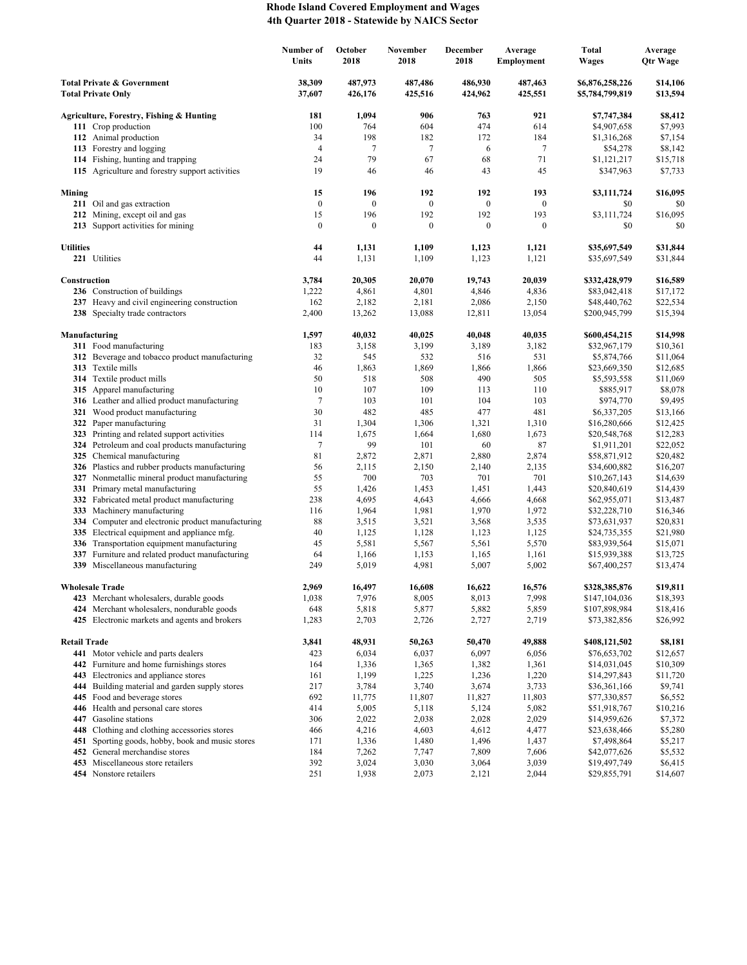## **Rhode Island Covered Employment and Wages 4th Quarter 2018 - Statewide by NAICS Sector**

|                                                                    |                                                                                             | Number of<br>Units | October<br>2018    | November<br>2018   | <b>December</b><br>2018 | Average<br><b>Employment</b> | <b>Total</b><br><b>Wages</b>       | Average<br>Qtr Wage  |
|--------------------------------------------------------------------|---------------------------------------------------------------------------------------------|--------------------|--------------------|--------------------|-------------------------|------------------------------|------------------------------------|----------------------|
| <b>Total Private &amp; Government</b><br><b>Total Private Only</b> |                                                                                             | 38,309<br>37,607   | 487,973<br>426,176 | 487,486<br>425,516 | 486,930<br>424,962      | 487,463<br>425,551           | \$6,876,258,226<br>\$5,784,799,819 | \$14,106<br>\$13,594 |
|                                                                    | Agriculture, Forestry, Fishing & Hunting                                                    | 181                | 1,094              | 906                | 763                     | 921                          | \$7,747,384                        | \$8,412              |
|                                                                    | 111 Crop production                                                                         | 100                | 764                | 604                | 474                     | 614                          | \$4,907,658                        | \$7,993              |
|                                                                    | 112 Animal production                                                                       | 34                 | 198                | 182                | 172                     | 184                          | \$1,316,268                        | \$7,154              |
|                                                                    | 113 Forestry and logging                                                                    | 4                  | 7                  | 7                  | 6                       | $\tau$                       | \$54,278                           | \$8,142              |
|                                                                    | 114 Fishing, hunting and trapping                                                           | 24                 | 79                 | 67                 | 68                      | 71                           | \$1,121,217                        | \$15,718             |
|                                                                    | 115 Agriculture and forestry support activities                                             | 19                 | 46                 | 46                 | 43                      | 45                           | \$347,963                          | \$7,733              |
| Mining                                                             |                                                                                             | 15                 | 196                | 192                | 192                     | 193                          | \$3,111,724                        | \$16,095             |
|                                                                    | 211 Oil and gas extraction                                                                  | $\boldsymbol{0}$   | $\boldsymbol{0}$   | $\boldsymbol{0}$   | $\mathbf{0}$            | $\mathbf{0}$                 | \$0                                | \$0                  |
|                                                                    | 212 Mining, except oil and gas                                                              | 15                 | 196                | 192                | 192                     | 193                          | \$3,111,724                        | \$16,095             |
|                                                                    | 213 Support activities for mining                                                           | $\boldsymbol{0}$   | $\boldsymbol{0}$   | $\boldsymbol{0}$   | $\boldsymbol{0}$        | $\mathbf{0}$                 | \$0                                | \$0                  |
| <b>Utilities</b>                                                   |                                                                                             | 44                 | 1,131              | 1,109              | 1,123                   | 1,121                        | \$35,697,549                       | \$31,844             |
|                                                                    | 221 Utilities                                                                               | 44                 | 1,131              | 1,109              | 1,123                   | 1,121                        | \$35,697,549                       | \$31,844             |
| Construction                                                       |                                                                                             | 3,784              | 20,305             | 20,070             | 19,743                  | 20,039                       | \$332,428,979                      | \$16,589             |
|                                                                    | 236 Construction of buildings                                                               | 1,222              | 4,861              | 4,801              | 4,846                   | 4,836                        | \$83,042,418                       | \$17,172             |
|                                                                    | 237 Heavy and civil engineering construction                                                | 162                | 2,182              | 2,181              | 2,086                   | 2,150                        | \$48,440,762                       | \$22,534             |
|                                                                    | 238 Specialty trade contractors                                                             | 2,400              | 13,262             | 13,088             | 12,811                  | 13,054                       | \$200,945,799                      | \$15,394             |
|                                                                    | Manufacturing                                                                               | 1,597              | 40,032             | 40,025             | 40,048                  | 40,035                       | \$600,454,215                      | \$14,998             |
|                                                                    | 311 Food manufacturing                                                                      | 183                | 3,158              | 3,199              | 3,189                   | 3,182                        | \$32,967,179                       | \$10,361             |
|                                                                    | 312 Beverage and tobacco product manufacturing                                              | 32                 | 545                | 532                | 516                     | 531                          | \$5,874,766                        | \$11,064             |
|                                                                    | 313 Textile mills                                                                           | 46                 | 1,863              | 1,869              | 1,866                   | 1,866                        | \$23,669,350                       | \$12,685             |
|                                                                    | 314 Textile product mills                                                                   | 50                 | 518                | 508                | 490                     | 505                          | \$5,593,558                        | \$11,069             |
|                                                                    | 315 Apparel manufacturing                                                                   | 10                 | 107                | 109                | 113                     | 110                          | \$885,917                          | \$8,078              |
|                                                                    | 316 Leather and allied product manufacturing                                                | 7                  | 103                | 101                | 104                     | 103                          | \$974,770                          | \$9,495              |
|                                                                    | 321 Wood product manufacturing                                                              | 30<br>31           | 482                | 485                | 477                     | 481                          | \$6,337,205                        | \$13,166             |
|                                                                    | 322 Paper manufacturing<br>323 Printing and related support activities                      | 114                | 1,304<br>1,675     | 1,306<br>1,664     | 1,321<br>1,680          | 1,310<br>1,673               | \$16,280,666<br>\$20,548,768       | \$12,425<br>\$12,283 |
|                                                                    | 324 Petroleum and coal products manufacturing                                               | 7                  | 99                 | 101                | 60                      | 87                           | \$1,911,201                        | \$22,052             |
|                                                                    | 325 Chemical manufacturing                                                                  | 81                 | 2,872              | 2,871              | 2,880                   | 2,874                        | \$58,871,912                       | \$20,482             |
|                                                                    | 326 Plastics and rubber products manufacturing                                              | 56                 | 2,115              | 2,150              | 2,140                   | 2,135                        | \$34,600,882                       | \$16,207             |
|                                                                    | 327 Nonmetallic mineral product manufacturing                                               | 55                 | 700                | 703                | 701                     | 701                          | \$10,267,143                       | \$14,639             |
|                                                                    | 331 Primary metal manufacturing                                                             | 55                 | 1,426              | 1,453              | 1,451                   | 1,443                        | \$20,840,619                       | \$14,439             |
|                                                                    | 332 Fabricated metal product manufacturing                                                  | 238                | 4,695              | 4,643              | 4,666                   | 4,668                        | \$62,955,071                       | \$13,487             |
| 333                                                                | Machinery manufacturing                                                                     | 116                | 1,964              | 1,981              | 1,970                   | 1,972                        | \$32,228,710                       | \$16,346             |
|                                                                    | 334 Computer and electronic product manufacturing                                           | 88                 | 3,515              | 3,521              | 3,568                   | 3,535                        | \$73,631,937                       | \$20,831             |
| 335                                                                | Electrical equipment and appliance mfg.                                                     | 40                 | 1,125              | 1,128              | 1,123                   | 1,125                        | \$24,735,355                       | \$21,980             |
|                                                                    | 336 Transportation equipment manufacturing                                                  | 45                 | 5,581              | 5,567              | 5,561                   | 5,570                        | \$83,939,564                       | \$15,071             |
| 337                                                                | Furniture and related product manufacturing<br>339 Miscellaneous manufacturing              | 64<br>249          | 1,166              | 1,153              | 1,165                   | 1,161                        | \$15,939,388                       | \$13,725             |
|                                                                    |                                                                                             |                    | 5,019              | 4,981              | 5,007                   | 5,002                        | \$67,400,257                       | \$13,474             |
|                                                                    | <b>Wholesale Trade</b>                                                                      | 2,969              | 16,497             | 16,608             | 16,622                  | 16,576                       | \$328,385,876                      | \$19,811             |
|                                                                    | 423 Merchant wholesalers, durable goods                                                     | 1,038              | 7,976              | 8,005              | 8,013                   | 7,998                        | \$147,104,036                      | \$18,393             |
|                                                                    | 424 Merchant wholesalers, nondurable goods<br>425 Electronic markets and agents and brokers | 648<br>1,283       | 5,818<br>2,703     | 5,877<br>2,726     | 5,882<br>2,727          | 5,859<br>2,719               | \$107,898,984<br>\$73,382,856      | \$18,416<br>\$26,992 |
|                                                                    |                                                                                             |                    |                    |                    |                         |                              |                                    |                      |
| <b>Retail Trade</b>                                                |                                                                                             | 3,841              | 48,931             | 50,263             | 50,470                  | 49,888                       | \$408,121,502                      | \$8,181              |
|                                                                    | 441 Motor vehicle and parts dealers<br>442 Furniture and home furnishings stores            | 423                | 6,034              | 6,037              | 6,097                   | 6,056                        | \$76,653,702                       | \$12,657             |
|                                                                    | 443 Electronics and appliance stores                                                        | 164<br>161         | 1,336<br>1,199     | 1,365<br>1,225     | 1,382<br>1,236          | 1,361<br>1,220               | \$14,031,045<br>\$14,297,843       | \$10,309<br>\$11,720 |
| 444                                                                | Building material and garden supply stores                                                  | 217                | 3,784              | 3,740              | 3,674                   | 3,733                        | \$36,361,166                       | \$9,741              |
|                                                                    | 445 Food and beverage stores                                                                | 692                | 11,775             | 11,807             | 11,827                  | 11,803                       | \$77,330,857                       | \$6,552              |
|                                                                    | 446 Health and personal care stores                                                         | 414                | 5,005              | 5,118              | 5,124                   | 5,082                        | \$51,918,767                       | \$10,216             |
|                                                                    | 447 Gasoline stations                                                                       | 306                | 2,022              | 2,038              | 2,028                   | 2,029                        | \$14,959,626                       | \$7,372              |
| 448                                                                | Clothing and clothing accessories stores                                                    | 466                | 4,216              | 4,603              | 4,612                   | 4,477                        | \$23,638,466                       | \$5,280              |
| 451                                                                | Sporting goods, hobby, book and music stores                                                | 171                | 1,336              | 1,480              | 1,496                   | 1,437                        | \$7,498,864                        | \$5,217              |
|                                                                    | 452 General merchandise stores                                                              | 184                | 7,262              | 7,747              | 7,809                   | 7,606                        | \$42,077,626                       | \$5,532              |
|                                                                    | 453 Miscellaneous store retailers                                                           | 392                | 3,024              | 3,030              | 3,064                   | 3,039                        | \$19,497,749                       | \$6,415              |
|                                                                    | 454 Nonstore retailers                                                                      | 251                | 1,938              | 2,073              | 2,121                   | 2,044                        | \$29,855,791                       | \$14,607             |